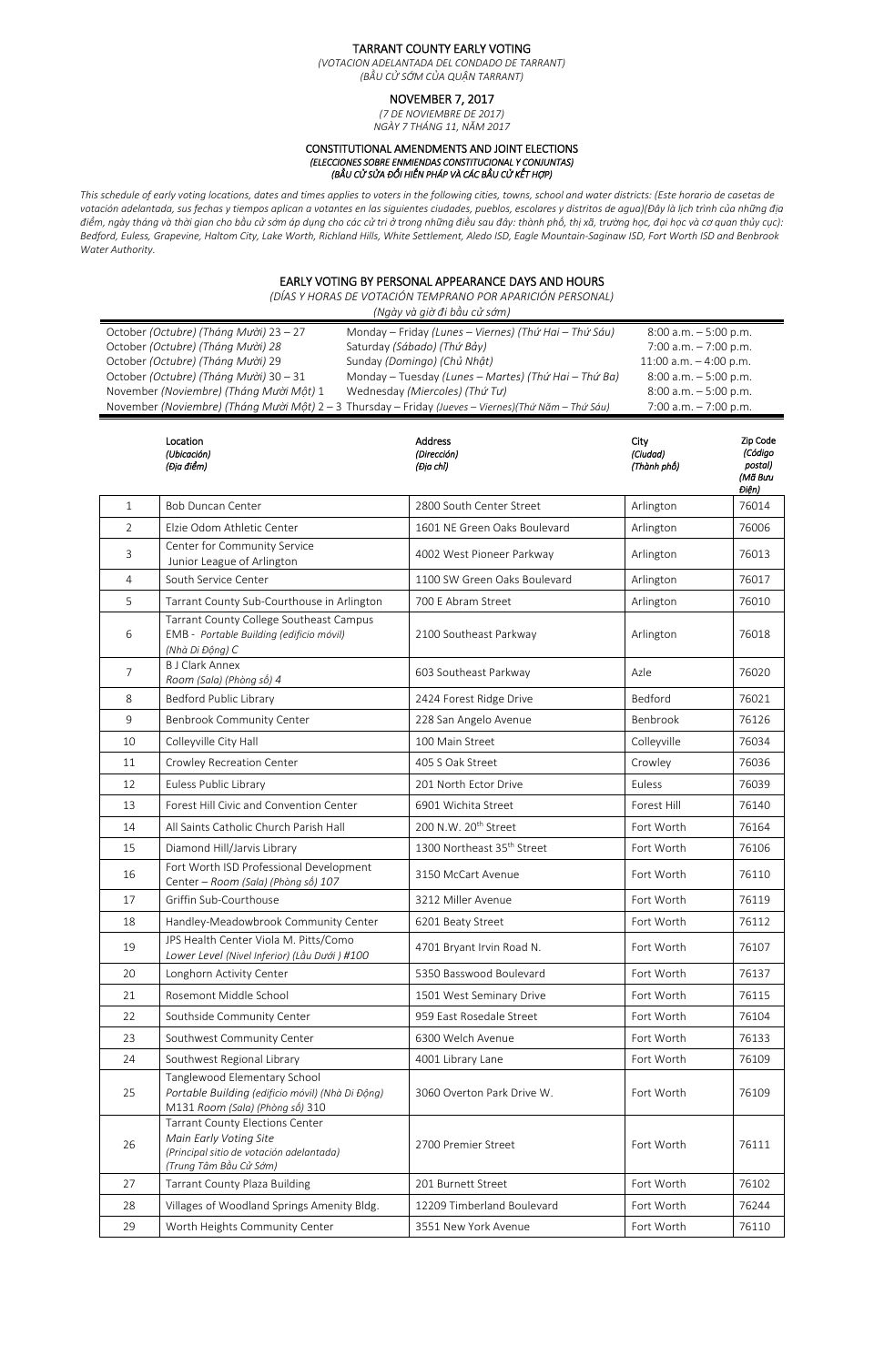## TARRANT COUNTY EARLY VOTING

*(VOTACION ADELANTADA DEL CONDADO DE TARRANT) (BẦU CỬ SỚM CỦA QUẬN TARRANT)*

# NOVEMBER 7, 2017

*(7 DE NOVIEMBRE DE 2017) NGÀY 7 THÁNG 11, NĂM 2017*

## CONSTITUTIONAL AMENDMENTS AND JOINT ELECTIONS *(ELECCIONES SOBRE ENMIENDAS CONSTITUCIONAL Y CONJUNTAS) (BẦU CỬ SỬA ĐỔI HIẾN PHÁP VÀ CÁC BẦU CỬ KẾT HỢP)*

*This schedule of early voting locations, dates and times applies to voters in the following cities, towns, school and water districts: (Este horario de casetas de votación adelantada, sus fechas y tiempos aplican a votantes en las siguientes ciudades, pueblos, escolares y distritos de agua)(Đây là lịch trình của những địa điểm, ngày tháng và thời gian cho bầu cử sớm áp dụng cho các cử tri ở trong những điều sau đây: thành phố, thị xã, trường học, đại học và cơ quan thủy cục): Bedford, Euless, Grapevine, Haltom City, Lake Worth, Richland Hills, White Settlement, Aledo ISD, Eagle Mountain‐Saginaw ISD, Fort Worth ISD and Benbrook Water Authority.* 

## EARLY VOTING BY PERSONAL APPEARANCE DAYS AND HOURS

*(DÍAS Y HORAS DE VOTACIÓN TEMPRANO POR APARICIÓN PERSONAL)* 

| (Ngày và giờ đi bầu cử sớm)                                                                                                                                                                                                                                                                                   |                                                                                                        |                                                                                                                                                                                                               |                                                                                                                                                                  |                                                    |  |  |  |
|---------------------------------------------------------------------------------------------------------------------------------------------------------------------------------------------------------------------------------------------------------------------------------------------------------------|--------------------------------------------------------------------------------------------------------|---------------------------------------------------------------------------------------------------------------------------------------------------------------------------------------------------------------|------------------------------------------------------------------------------------------------------------------------------------------------------------------|----------------------------------------------------|--|--|--|
| October (Octubre) (Tháng Mười) 23 - 27<br>October (Octubre) (Tháng Mười) 28<br>October (Octubre) (Tháng Mười) 29<br>October (Octubre) (Tháng Mười) 30 - 31<br>November (Noviembre) (Tháng Mười Một) 1<br>November (Noviembre) (Tháng Mười Một) 2 - 3 Thursday - Friday (Jueves - Viernes) (Thứ Năm - Thứ Sáu) |                                                                                                        | Monday - Friday (Lunes - Viernes) (Thứ Hai - Thứ Sáu)<br>Saturday (Sábado) (Thứ Bảy)<br>Sunday (Domingo) (Chủ Nhật)<br>Monday - Tuesday (Lunes - Martes) (Thứ Hai - Thứ Ba)<br>Wednesday (Miercoles) (Thứ Tư) | $8:00$ a.m. $-5:00$ p.m.<br>7:00 a.m. $-7:00$ p.m.<br>11:00 a.m. $-$ 4:00 p.m.<br>$8:00$ a.m. $-5:00$ p.m.<br>$8:00$ a.m. $-5:00$ p.m.<br>7:00 a.m. $-7:00$ p.m. |                                                    |  |  |  |
|                                                                                                                                                                                                                                                                                                               | Location<br>(Ubicación)<br>(Địa điểm)                                                                  | <b>Address</b><br>(Dirección)<br>(Địa chỉ)                                                                                                                                                                    | City<br>(Ciudad)<br>(Thành phố)                                                                                                                                  | Zip Code<br>(Código<br>postal)<br>(Mã Bưu<br>Điện) |  |  |  |
| $\mathbf{1}$                                                                                                                                                                                                                                                                                                  | <b>Bob Duncan Center</b>                                                                               | 2800 South Center Street                                                                                                                                                                                      | Arlington                                                                                                                                                        | 76014                                              |  |  |  |
| $\overline{2}$                                                                                                                                                                                                                                                                                                | Elzie Odom Athletic Center                                                                             | 1601 NE Green Oaks Boulevard                                                                                                                                                                                  | Arlington                                                                                                                                                        | 76006                                              |  |  |  |
| 3                                                                                                                                                                                                                                                                                                             | Center for Community Service<br>Junior League of Arlington                                             | 4002 West Pioneer Parkway                                                                                                                                                                                     | Arlington                                                                                                                                                        | 76013                                              |  |  |  |
| 4                                                                                                                                                                                                                                                                                                             | South Service Center                                                                                   | 1100 SW Green Oaks Boulevard                                                                                                                                                                                  | Arlington                                                                                                                                                        | 76017                                              |  |  |  |
| 5                                                                                                                                                                                                                                                                                                             | Tarrant County Sub-Courthouse in Arlington                                                             | 700 E Abram Street                                                                                                                                                                                            | Arlington                                                                                                                                                        | 76010                                              |  |  |  |
| 6                                                                                                                                                                                                                                                                                                             | Tarrant County College Southeast Campus<br>EMB - Portable Building (edificio móvil)<br>(Nhà Di Động) C | 2100 Southeast Parkway                                                                                                                                                                                        | Arlington                                                                                                                                                        | 76018                                              |  |  |  |
| 7                                                                                                                                                                                                                                                                                                             | <b>B J Clark Annex</b><br>Room (Sala) (Phòng số) 4                                                     | 603 Southeast Parkway                                                                                                                                                                                         | Azle                                                                                                                                                             | 76020                                              |  |  |  |
| 8                                                                                                                                                                                                                                                                                                             | Bedford Public Library                                                                                 | 2424 Forest Ridge Drive                                                                                                                                                                                       | Bedford                                                                                                                                                          | 76021                                              |  |  |  |
| 9                                                                                                                                                                                                                                                                                                             | <b>Benbrook Community Center</b>                                                                       | 228 San Angelo Avenue                                                                                                                                                                                         | Benbrook                                                                                                                                                         | 76126                                              |  |  |  |
| 10                                                                                                                                                                                                                                                                                                            | Colleyville City Hall                                                                                  | 100 Main Street                                                                                                                                                                                               | Colleyville                                                                                                                                                      | 76034                                              |  |  |  |
| 11                                                                                                                                                                                                                                                                                                            | Crowley Recreation Center                                                                              | 405 S Oak Street                                                                                                                                                                                              | Crowley                                                                                                                                                          | 76036                                              |  |  |  |
| 12                                                                                                                                                                                                                                                                                                            | Euless Public Library                                                                                  | 201 North Ector Drive                                                                                                                                                                                         | Euless                                                                                                                                                           | 76039                                              |  |  |  |
| 13                                                                                                                                                                                                                                                                                                            | Forest Hill Civic and Convention Center                                                                | 6901 Wichita Street                                                                                                                                                                                           | Forest Hill                                                                                                                                                      | 76140                                              |  |  |  |
| 14                                                                                                                                                                                                                                                                                                            | All Saints Catholic Church Parish Hall                                                                 | 200 N.W. 20 <sup>th</sup> Street                                                                                                                                                                              | Fort Worth                                                                                                                                                       | 76164                                              |  |  |  |
| 15                                                                                                                                                                                                                                                                                                            | Diamond Hill/Jarvis Library                                                                            | 1300 Northeast 35 <sup>th</sup> Street                                                                                                                                                                        | Fort Worth                                                                                                                                                       | 76106                                              |  |  |  |
| 16                                                                                                                                                                                                                                                                                                            | Fort Worth ISD Professional Development<br>Center - Room (Sala) (Phòng số) 107                         | 3150 McCart Avenue                                                                                                                                                                                            | Fort Worth                                                                                                                                                       | 76110                                              |  |  |  |
| 17                                                                                                                                                                                                                                                                                                            | Griffin Sub-Courthouse                                                                                 | 3212 Miller Avenue                                                                                                                                                                                            | Fort Worth                                                                                                                                                       | 76119                                              |  |  |  |
| 18                                                                                                                                                                                                                                                                                                            | Handley-Meadowbrook Community Center                                                                   | 6201 Beaty Street                                                                                                                                                                                             | Fort Worth                                                                                                                                                       | 76112                                              |  |  |  |
| 19                                                                                                                                                                                                                                                                                                            | JPS Health Center Viola M. Pitts/Como<br>Lower Level (Nivel Inferior) (Lầu Dưới) #100                  | 4701 Bryant Irvin Road N.                                                                                                                                                                                     | Fort Worth                                                                                                                                                       | 76107                                              |  |  |  |
| 20                                                                                                                                                                                                                                                                                                            | Longhorn Activity Center                                                                               | 5350 Basswood Boulevard                                                                                                                                                                                       | Fort Worth                                                                                                                                                       | 76137                                              |  |  |  |

| 22 | Southside Community Center                                                                                                             | 959 East Rosedale Street   | Fort Worth | 76104 |
|----|----------------------------------------------------------------------------------------------------------------------------------------|----------------------------|------------|-------|
| 23 | Southwest Community Center                                                                                                             | 6300 Welch Avenue          | Fort Worth | 76133 |
| 24 | Southwest Regional Library                                                                                                             | 4001 Library Lane          | Fort Worth | 76109 |
| 25 | Tanglewood Elementary School<br>Portable Building (edificio móvil) (Nhà Di Động)<br>M131 Room (Sala) (Phòng số) 310                    | 3060 Overton Park Drive W. | Fort Worth | 76109 |
| 26 | <b>Tarrant County Elections Center</b><br>Main Early Voting Site<br>(Principal sitio de votación adelantada)<br>(Trung Tâm Bầu Cử Sớm) | 2700 Premier Street        | Fort Worth | 76111 |
| 27 | <b>Tarrant County Plaza Building</b>                                                                                                   | 201 Burnett Street         | Fort Worth | 76102 |
| 28 | Villages of Woodland Springs Amenity Bldg.                                                                                             | 12209 Timberland Boulevard | Fort Worth | 76244 |
| 29 | Worth Heights Community Center                                                                                                         | 3551 New York Avenue       | Fort Worth | 76110 |

21 Rosemont Middle School 1501 West Seminary Drive Fort Worth 76115